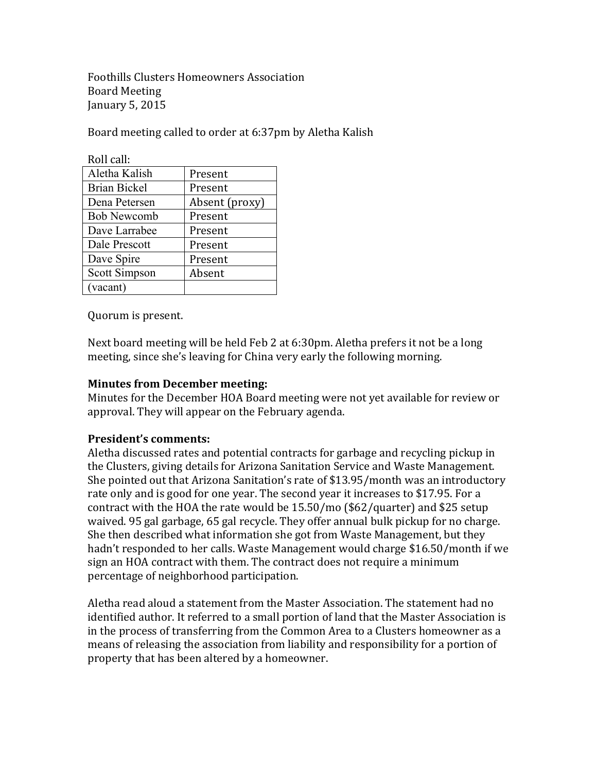Foothills Clusters Homeowners Association Board Meeting January 5, 2015

Board meeting called to order at 6:37pm by Aletha Kalish

| Roll call:           |                |
|----------------------|----------------|
| Aletha Kalish        | Present        |
| <b>Brian Bickel</b>  | Present        |
| Dena Petersen        | Absent (proxy) |
| <b>Bob Newcomb</b>   | Present        |
| Dave Larrabee        | Present        |
| Dale Prescott        | Present        |
| Dave Spire           | Present        |
| <b>Scott Simpson</b> | Absent         |
| (vacant)             |                |

Quorum is present.

Next board meeting will be held Feb 2 at 6:30pm. Aletha prefers it not be a long meeting, since she's leaving for China very early the following morning.

# **Minutes from December meeting:**

Minutes for the December HOA Board meeting were not vet available for review or approval. They will appear on the February agenda.

# **President's comments:**

Aletha discussed rates and potential contracts for garbage and recycling pickup in the Clusters, giving details for Arizona Sanitation Service and Waste Management. She pointed out that Arizona Sanitation's rate of \$13.95/month was an introductory rate only and is good for one year. The second year it increases to \$17.95. For a contract with the HOA the rate would be 15.50/mo (\$62/quarter) and \$25 setup waived. 95 gal garbage, 65 gal recycle. They offer annual bulk pickup for no charge. She then described what information she got from Waste Management, but they hadn't responded to her calls. Waste Management would charge \$16.50/month if we sign an HOA contract with them. The contract does not require a minimum percentage of neighborhood participation.

Aletha read aloud a statement from the Master Association. The statement had no identified author. It referred to a small portion of land that the Master Association is in the process of transferring from the Common Area to a Clusters homeowner as a means of releasing the association from liability and responsibility for a portion of property that has been altered by a homeowner.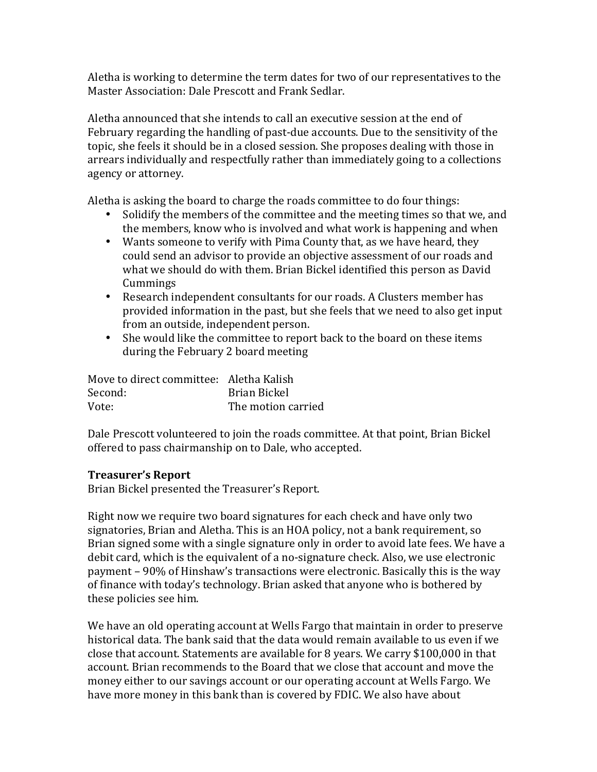Aletha is working to determine the term dates for two of our representatives to the Master Association: Dale Prescott and Frank Sedlar.

Aletha announced that she intends to call an executive session at the end of February regarding the handling of past-due accounts. Due to the sensitivity of the topic, she feels it should be in a closed session. She proposes dealing with those in arrears individually and respectfully rather than immediately going to a collections agency or attorney.

Aletha is asking the board to charge the roads committee to do four things:

- Solidify the members of the committee and the meeting times so that we, and the members, know who is involved and what work is happening and when
- Wants someone to verify with Pima County that, as we have heard, they could send an advisor to provide an objective assessment of our roads and what we should do with them. Brian Bickel identified this person as David Cummings
- Research independent consultants for our roads. A Clusters member has provided information in the past, but she feels that we need to also get input from an outside, independent person.
- She would like the committee to report back to the board on these items during the February 2 board meeting

| Move to direct committee: Aletha Kalish |                    |
|-----------------------------------------|--------------------|
| Second:                                 | Brian Bickel       |
| Vote:                                   | The motion carried |

Dale Prescott volunteered to join the roads committee. At that point, Brian Bickel offered to pass chairmanship on to Dale, who accepted.

### **Treasurer's Report**

Brian Bickel presented the Treasurer's Report.

Right now we require two board signatures for each check and have only two signatories, Brian and Aletha. This is an HOA policy, not a bank requirement, so Brian signed some with a single signature only in order to avoid late fees. We have a debit card, which is the equivalent of a no-signature check. Also, we use electronic payment - 90% of Hinshaw's transactions were electronic. Basically this is the way of finance with today's technology. Brian asked that anyone who is bothered by these policies see him.

We have an old operating account at Wells Fargo that maintain in order to preserve historical data. The bank said that the data would remain available to us even if we close that account. Statements are available for  $8$  years. We carry \$100,000 in that account. Brian recommends to the Board that we close that account and move the money either to our savings account or our operating account at Wells Fargo. We have more money in this bank than is covered by FDIC. We also have about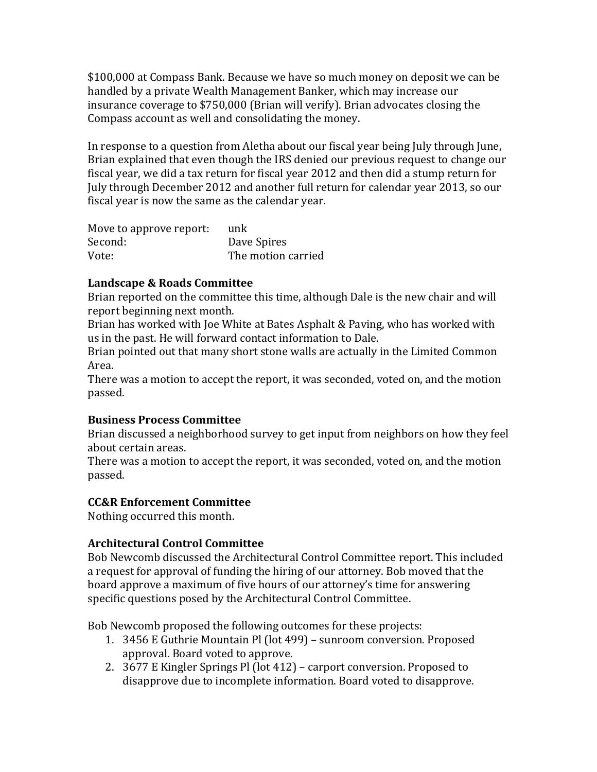\$100,000 at Compass Bank. Because we have so much money on deposit we can be handled by a private Wealth Management Banker, which may increase our insurance coverage to \$750,000 (Brian will verify). Brian advocates closing the Compass account as well and consolidating the money.

In response to a question from Aletha about our fiscal year being July through June, Brian explained that even though the IRS denied our previous request to change our fiscal year, we did a tax return for fiscal year 2012 and then did a stump return for July through December 2012 and another full return for calendar year 2013, so our fiscal year is now the same as the calendar year.

| Move to approve report: | unk                |
|-------------------------|--------------------|
| Second:                 | Dave Spires        |
| Vote:                   | The motion carried |

# Landscape & Roads Committee

Brian reported on the committee this time, although Dale is the new chair and will report beginning next month.

Brian has worked with Joe White at Bates Asphalt & Paving, who has worked with us in the past. He will forward contact information to Dale.

Brian pointed out that many short stone walls are actually in the Limited Common Area.

There was a motion to accept the report, it was seconded, voted on, and the motion passed.

# **Business Process Committee**

Brian discussed a neighborhood survey to get input from neighbors on how they feel about certain areas.

There was a motion to accept the report, it was seconded, voted on, and the motion passed.

# **CC&R Enforcement Committee**

Nothing occurred this month.

# **Architectural Control Committee**

Bob Newcomb discussed the Architectural Control Committee report. This included a request for approval of funding the hiring of our attorney. Bob moved that the board approve a maximum of five hours of our attorney's time for answering specific questions posed by the Architectural Control Committee.

Bob Newcomb proposed the following outcomes for these projects:

- 1. 3456 E Guthrie Mountain Pl (lot 499) sunroom conversion. Proposed approval. Board voted to approve.
- 2. 3677 E Kingler Springs Pl (lot 412) carport conversion. Proposed to disapprove due to incomplete information. Board voted to disapprove.